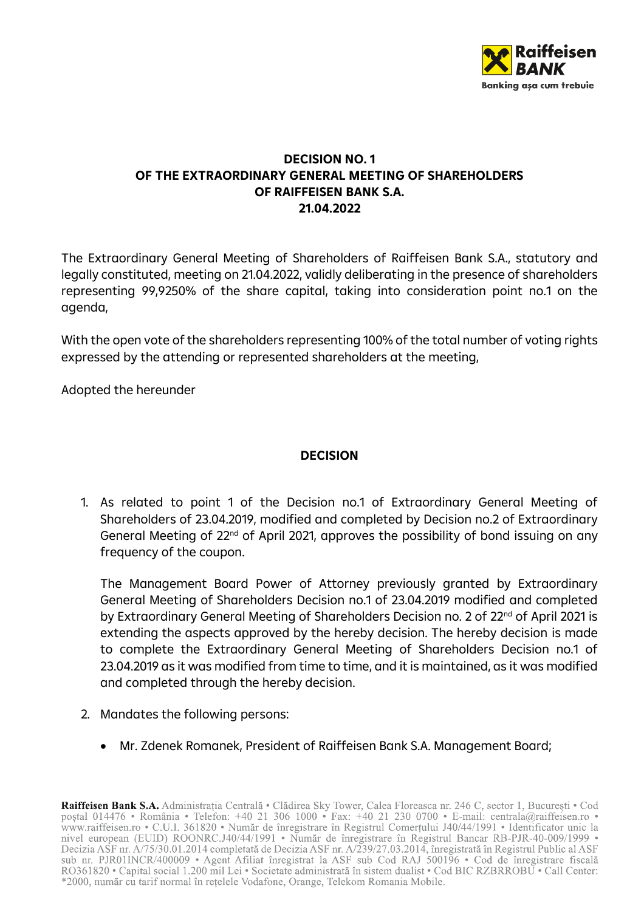

#### **DECISION NO. 1 OF THE EXTRAORDINARY GENERAL MEETING OF SHAREHOLDERS OF RAIFFEISEN BANK S.A. 21.04.2022**

The Extraordinary General Meeting of Shareholders of Raiffeisen Bank S.A., statutory and legally constituted, meeting on 21.04.2022, validly deliberating in the presence of shareholders representing 99,9250% of the share capital, taking into consideration point no.1 on the agenda,

With the open vote of the shareholders representing 100% of the total number of voting rights expressed by the attending or represented shareholders at the meeting,

Adopted the hereunder

## **DECISION**

1. As related to point 1 of the Decision no.1 of Extraordinary General Meeting of Shareholders of 23.04.2019, modified and completed by Decision no.2 of Extraordinary General Meeting of 22nd of April 2021, approves the possibility of bond issuing on any frequency of the coupon.

The Management Board Power of Attorney previously granted by Extraordinary General Meeting of Shareholders Decision no.1 of 23.04.2019 modified and completed by Extraordinary General Meeting of Shareholders Decision no. 2 of 22<sup>nd</sup> of April 2021 is extending the aspects approved by the hereby decision. The hereby decision is made to complete the Extraordinary General Meeting of Shareholders Decision no.1 of 23.04.2019 as it was modified from time to time, and it is maintained, as it was modified and completed through the hereby decision.

- 2. Mandates the following persons:
	- Mr. Zdenek Romanek, President of Raiffeisen Bank S.A. Management Board;

Raiffeisen Bank S.A. Administrația Centrală · Clădirea Sky Tower, Calea Floreasca nr. 246 C, sector 1, București · Cod postal 014476 • România • Telefon: +40 21 306 1000 • Fax: +40 21 230 0700 • E-mail: centrala@raiffeisen.ro • poștat 014476 • Komania • Telefon: +40 21 306 1000 • Fax: +40 21 250 0700 • E-mail: centrala@raffelsen.ro • www.rafffeisen.ro • C.U.I. 361820 • Număr de înregistrare în Registrul Comerțului J40/44/1991 • Identificator unic RO361820 • Capital social 1.200 mil Lei • Societate administrată în sistem dualist • Cod BIC RZBRROBU • Call Center: \*2000, număr cu tarif normal în rețelele Vodafone, Orange, Telekom Romania Mobile.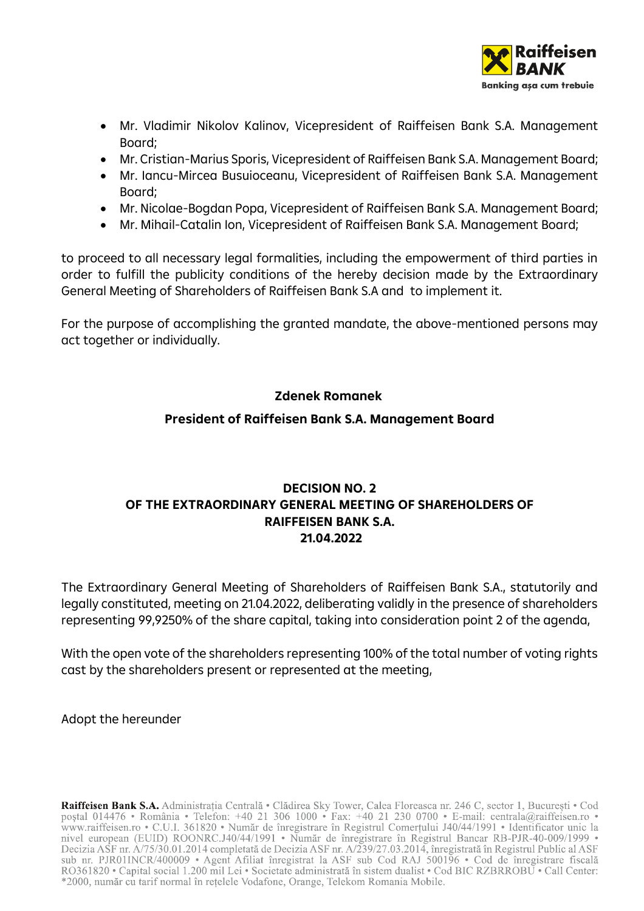

- Mr. Vladimir Nikolov Kalinov, Vicepresident of Raiffeisen Bank S.A. Management Board;
- Mr. Cristian-Marius Sporis, Vicepresident of Raiffeisen Bank S.A. Management Board;
- Mr. Iancu-Mircea Busuioceanu, Vicepresident of Raiffeisen Bank S.A. Management Board;
- Mr. Nicolae-Bogdan Popa, Vicepresident of Raiffeisen Bank S.A. Management Board;
- Mr. Mihail-Catalin Ion, Vicepresident of Raiffeisen Bank S.A. Management Board;

to proceed to all necessary legal formalities, including the empowerment of third parties in order to fulfill the publicity conditions of the hereby decision made by the Extraordinary General Meeting of Shareholders of Raiffeisen Bank S.A and to implement it.

For the purpose of accomplishing the granted mandate, the above-mentioned persons may act together or individually.

## **Zdenek Romanek**

#### **President of Raiffeisen Bank S.A. Management Board**

## **DECISION NO. 2 OF THE EXTRAORDINARY GENERAL MEETING OF SHAREHOLDERS OF RAIFFEISEN BANK S.A. 21.04.2022**

The Extraordinary General Meeting of Shareholders of Raiffeisen Bank S.A., statutorily and legally constituted, meeting on 21.04.2022, deliberating validly in the presence of shareholders representing 99,9250% of the share capital, taking into consideration point 2 of the agenda,

With the open vote of the shareholders representing 100% of the total number of voting rights cast by the shareholders present or represented at the meeting,

Adopt the hereunder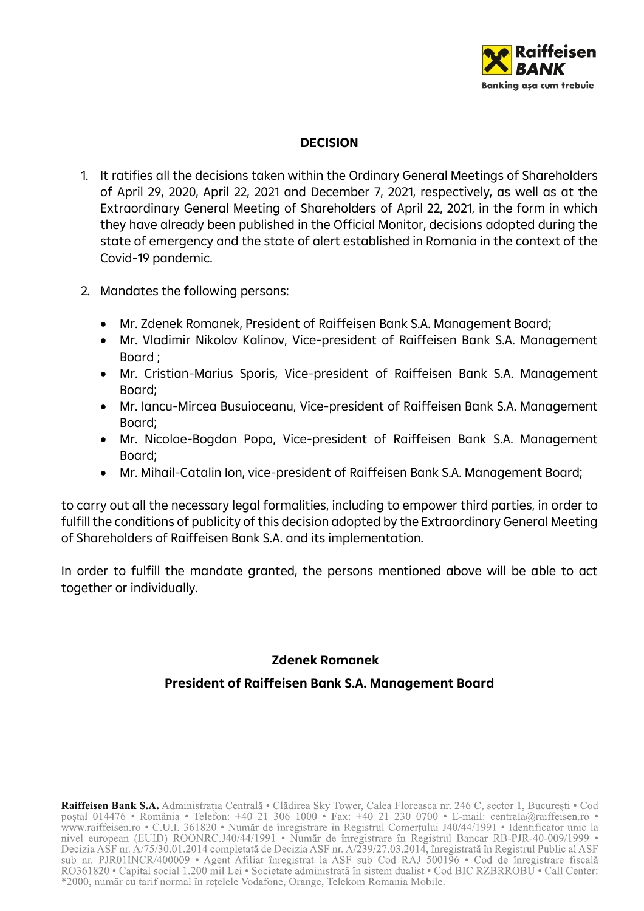

## **DECISION**

- 1. It ratifies all the decisions taken within the Ordinary General Meetings of Shareholders of April 29, 2020, April 22, 2021 and December 7, 2021, respectively, as well as at the Extraordinary General Meeting of Shareholders of April 22, 2021, in the form in which they have already been published in the Official Monitor, decisions adopted during the state of emergency and the state of alert established in Romania in the context of the Covid-19 pandemic.
- 2. Mandates the following persons:
	- Mr. Zdenek Romanek, President of Raiffeisen Bank S.A. Management Board;
	- Mr. Vladimir Nikolov Kalinov, Vice-president of Raiffeisen Bank S.A. Management Board ;
	- Mr. Cristian-Marius Sporis, Vice-president of Raiffeisen Bank S.A. Management Board;
	- Mr. Iancu-Mircea Busuioceanu, Vice-president of Raiffeisen Bank S.A. Management Board;
	- Mr. Nicolae-Bogdan Popa, Vice-president of Raiffeisen Bank S.A. Management Board;
	- Mr. Mihail-Catalin Ion, vice-president of Raiffeisen Bank S.A. Management Board;

to carry out all the necessary legal formalities, including to empower third parties, in order to fulfill the conditions of publicity of this decision adopted by the Extraordinary General Meeting of Shareholders of Raiffeisen Bank S.A. and its implementation.

In order to fulfill the mandate granted, the persons mentioned above will be able to act together or individually.

#### **Zdenek Romanek**

## **President of Raiffeisen Bank S.A. Management Board**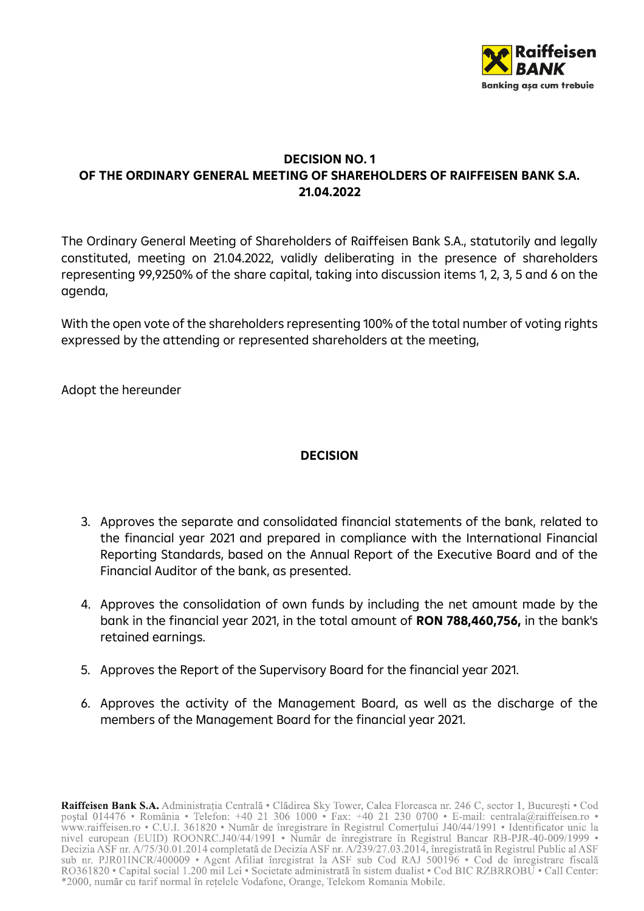

## **DECISION NO. 1 OF THE ORDINARY GENERAL MEETING OF SHAREHOLDERS OF RAIFFEISEN BANK S.A. 21.04.2022**

The Ordinary General Meeting of Shareholders of Raiffeisen Bank S.A., statutorily and legally constituted, meeting on 21.04.2022, validly deliberating in the presence of shareholders representing 99,9250% of the share capital, taking into discussion items 1, 2, 3, 5 and 6 on the agenda,

With the open vote of the shareholders representing 100% of the total number of voting rights expressed by the attending or represented shareholders at the meeting,

Adopt the hereunder

## **DECISION**

- 3. Approves the separate and consolidated financial statements of the bank, related to the financial year 2021 and prepared in compliance with the International Financial Reporting Standards, based on the Annual Report of the Executive Board and of the Financial Auditor of the bank, as presented.
- 4. Approves the consolidation of own funds by including the net amount made by the bank in the financial year 2021, in the total amount of **RON 788,460,756,** in the bank's retained earnings.
- 5. Approves the Report of the Supervisory Board for the financial year 2021.
- 6. Approves the activity of the Management Board, as well as the discharge of the members of the Management Board for the financial year 2021.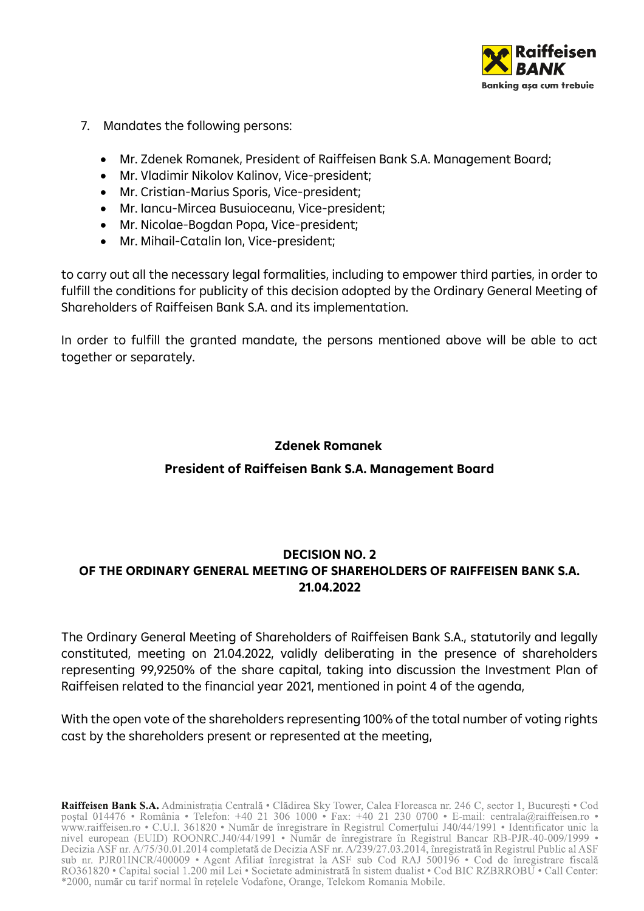

- 7. Mandates the following persons:
	- Mr. Zdenek Romanek, President of Raiffeisen Bank S.A. Management Board;
	- Mr. Vladimir Nikolov Kalinov, Vice-president;
	- Mr. Cristian-Marius Sporis, Vice-president;
	- Mr. Iancu-Mircea Busuioceanu, Vice-president;
	- Mr. Nicolae-Bogdan Popa, Vice-president;
	- Mr. Mihail-Catalin Ion, Vice-president;

to carry out all the necessary legal formalities, including to empower third parties, in order to fulfill the conditions for publicity of this decision adopted by the Ordinary General Meeting of Shareholders of Raiffeisen Bank S.A. and its implementation.

In order to fulfill the granted mandate, the persons mentioned above will be able to act together or separately.

# **Zdenek Romanek President of Raiffeisen Bank S.A. Management Board**

## **DECISION NO. 2 OF THE ORDINARY GENERAL MEETING OF SHAREHOLDERS OF RAIFFEISEN BANK S.A. 21.04.2022**

The Ordinary General Meeting of Shareholders of Raiffeisen Bank S.A., statutorily and legally constituted, meeting on 21.04.2022, validly deliberating in the presence of shareholders representing 99,9250% of the share capital, taking into discussion the Investment Plan of Raiffeisen related to the financial year 2021, mentioned in point 4 of the agenda,

With the open vote of the shareholders representing 100% of the total number of voting rights cast by the shareholders present or represented at the meeting,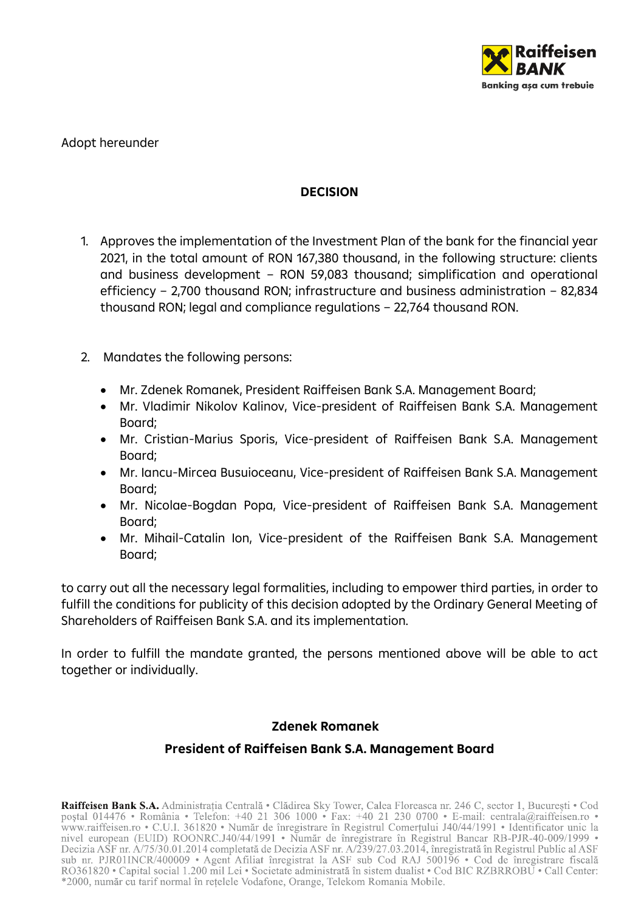

#### Adopt hereunder

#### **DECISION**

- 1. Approves the implementation of the Investment Plan of the bank for the financial year 2021, in the total amount of RON 167,380 thousand, in the following structure: clients and business development – RON 59,083 thousand; simplification and operational efficiency – 2,700 thousand RON; infrastructure and business administration – 82,834 thousand RON; legal and compliance regulations – 22,764 thousand RON.
- 2. Mandates the following persons:
	- Mr. Zdenek Romanek, President Raiffeisen Bank S.A. Management Board;
	- Mr. Vladimir Nikolov Kalinov, Vice-president of Raiffeisen Bank S.A. Management Board;
	- Mr. Cristian-Marius Sporis, Vice-president of Raiffeisen Bank S.A. Management Board;
	- Mr. Iancu-Mircea Busuioceanu, Vice-president of Raiffeisen Bank S.A. Management Board;
	- Mr. Nicolae-Bogdan Popa, Vice-president of Raiffeisen Bank S.A. Management Board;
	- Mr. Mihail-Catalin Ion, Vice-president of the Raiffeisen Bank S.A. Management Board;

to carry out all the necessary legal formalities, including to empower third parties, in order to fulfill the conditions for publicity of this decision adopted by the Ordinary General Meeting of Shareholders of Raiffeisen Bank S.A. and its implementation.

In order to fulfill the mandate granted, the persons mentioned above will be able to act together or individually.

#### **Zdenek Romanek**

#### **President of Raiffeisen Bank S.A. Management Board**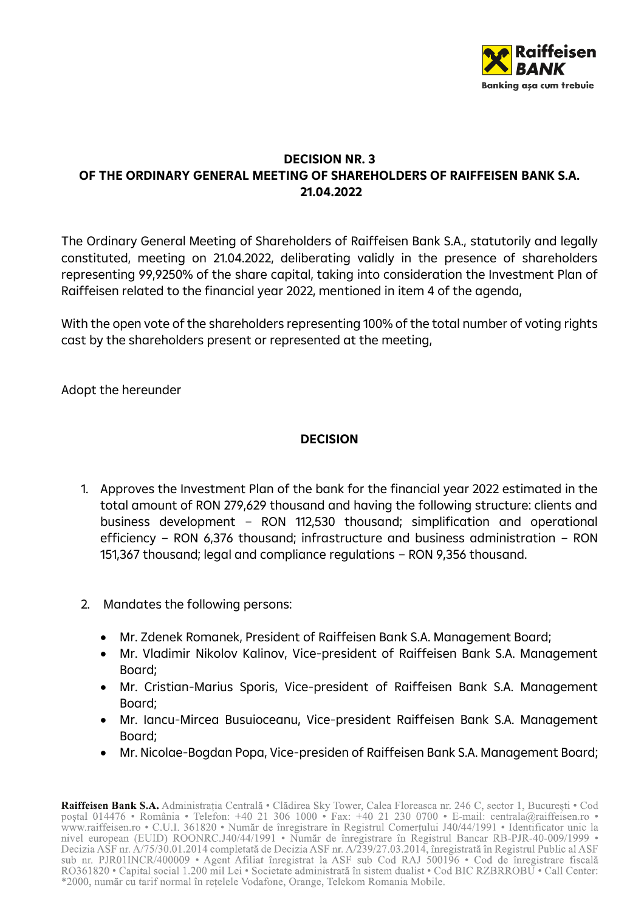

## **DECISION NR. 3 OF THE ORDINARY GENERAL MEETING OF SHAREHOLDERS OF RAIFFEISEN BANK S.A. 21.04.2022**

The Ordinary General Meeting of Shareholders of Raiffeisen Bank S.A., statutorily and legally constituted, meeting on 21.04.2022, deliberating validly in the presence of shareholders representing 99,9250% of the share capital, taking into consideration the Investment Plan of Raiffeisen related to the financial year 2022, mentioned in item 4 of the agenda,

With the open vote of the shareholders representing 100% of the total number of voting rights cast by the shareholders present or represented at the meeting,

Adopt the hereunder

## **DECISION**

- 1. Approves the Investment Plan of the bank for the financial year 2022 estimated in the total amount of RON 279,629 thousand and having the following structure: clients and business development – RON 112,530 thousand; simplification and operational efficiency – RON 6,376 thousand; infrastructure and business administration – RON 151,367 thousand; legal and compliance regulations – RON 9,356 thousand.
- 2. Mandates the following persons:
	- Mr. Zdenek Romanek, President of Raiffeisen Bank S.A. Management Board;
	- Mr. Vladimir Nikolov Kalinov, Vice-president of Raiffeisen Bank S.A. Management Board;
	- Mr. Cristian-Marius Sporis, Vice-president of Raiffeisen Bank S.A. Management Board;
	- Mr. Iancu-Mircea Busuioceanu, Vice-president Raiffeisen Bank S.A. Management Board;
	- Mr. Nicolae-Bogdan Popa, Vice-presiden of Raiffeisen Bank S.A. Management Board;

Raiffeisen Bank S.A. Administrația Centrală · Clădirea Sky Tower, Calea Floreasca nr. 246 C, sector 1, București · Cod postal 014476 • România • Telefon: +40 21 306 1000 • Fax: +40 21 230 0700 • E-mail: centrala@raiffeisen.ro • poștat 014476 • Komania • Telefon: +40 21 306 1000 • Fax: +40 21 250 0700 • E-mail: centrala@raffelsen.ro • www.rafffeisen.ro • C.U.I. 361820 • Număr de înregistrare în Registrul Comerțului J40/44/1991 • Identificator unic RO361820 • Capital social 1.200 mil Lei • Societate administrată în sistem dualist • Cod BIC RZBRROBU • Call Center: \*2000, număr cu tarif normal în rețelele Vodafone, Orange, Telekom Romania Mobile.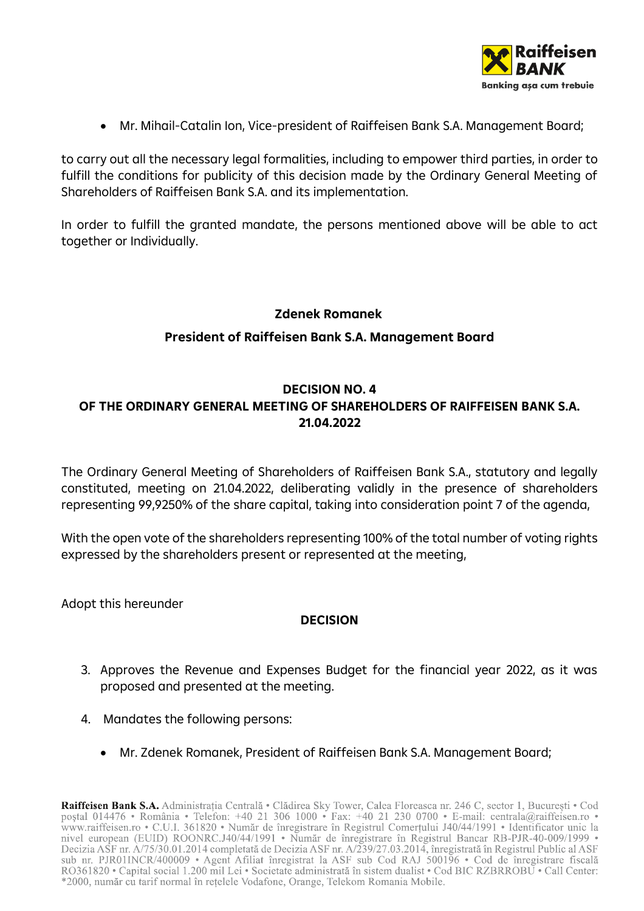

• Mr. Mihail-Catalin Ion, Vice-president of Raiffeisen Bank S.A. Management Board;

to carry out all the necessary legal formalities, including to empower third parties, in order to fulfill the conditions for publicity of this decision made by the Ordinary General Meeting of Shareholders of Raiffeisen Bank S.A. and its implementation.

In order to fulfill the granted mandate, the persons mentioned above will be able to act together or Individually.

#### **Zdenek Romanek**

#### **President of Raiffeisen Bank S.A. Management Board**

## **DECISION NO. 4 OF THE ORDINARY GENERAL MEETING OF SHAREHOLDERS OF RAIFFEISEN BANK S.A. 21.04.2022**

The Ordinary General Meeting of Shareholders of Raiffeisen Bank S.A., statutory and legally constituted, meeting on 21.04.2022, deliberating validly in the presence of shareholders representing 99,9250% of the share capital, taking into consideration point 7 of the agenda,

With the open vote of the shareholders representing 100% of the total number of voting rights expressed by the shareholders present or represented at the meeting,

Adopt this hereunder

#### **DECISION**

- 3. Approves the Revenue and Expenses Budget for the financial year 2022, as it was proposed and presented at the meeting.
- 4. Mandates the following persons:
	- Mr. Zdenek Romanek, President of Raiffeisen Bank S.A. Management Board;

Raiffeisen Bank S.A. Administrația Centrală · Clădirea Sky Tower, Calea Floreasca nr. 246 C, sector 1, București · Cod postal 014476 • România • Telefon: +40 21 306 1000 • Fax: +40 21 230 0700 • E-mail: centrala@raiffeisen.ro • poștat 014476 • Komania • Telefon: +40 21 306 1000 • Fax: +40 21 250 0700 • E-mail: centrala@raffelsen.ro • www.rafffeisen.ro • C.U.I. 361820 • Număr de înregistrare în Registrul Comerțului J40/44/1991 • Identificator unic RO361820 • Capital social 1.200 mil Lei • Societate administrată în sistem dualist • Cod BIC RZBRROBU • Call Center: \*2000, număr cu tarif normal în rețelele Vodafone, Orange, Telekom Romania Mobile.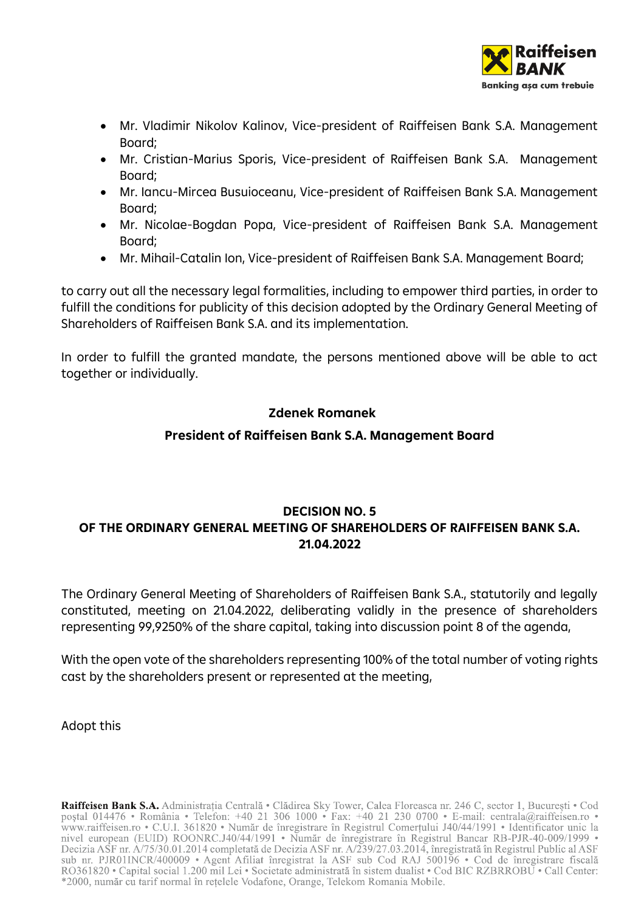

- Mr. Vladimir Nikolov Kalinov, Vice-president of Raiffeisen Bank S.A. Management Board;
- Mr. Cristian-Marius Sporis, Vice-president of Raiffeisen Bank S.A. Management Board;
- Mr. Iancu-Mircea Busuioceanu, Vice-president of Raiffeisen Bank S.A. Management Board;
- Mr. Nicolae-Bogdan Popa, Vice-president of Raiffeisen Bank S.A. Management Board;
- Mr. Mihail-Catalin Ion, Vice-president of Raiffeisen Bank S.A. Management Board;

to carry out all the necessary legal formalities, including to empower third parties, in order to fulfill the conditions for publicity of this decision adopted by the Ordinary General Meeting of Shareholders of Raiffeisen Bank S.A. and its implementation.

In order to fulfill the granted mandate, the persons mentioned above will be able to act together or individually.

#### **Zdenek Romanek**

#### **President of Raiffeisen Bank S.A. Management Board**

## **DECISION NO. 5 OF THE ORDINARY GENERAL MEETING OF SHAREHOLDERS OF RAIFFEISEN BANK S.A. 21.04.2022**

The Ordinary General Meeting of Shareholders of Raiffeisen Bank S.A., statutorily and legally constituted, meeting on 21.04.2022, deliberating validly in the presence of shareholders representing 99,9250% of the share capital, taking into discussion point 8 of the agenda,

With the open vote of the shareholders representing 100% of the total number of voting rights cast by the shareholders present or represented at the meeting,

#### Adopt this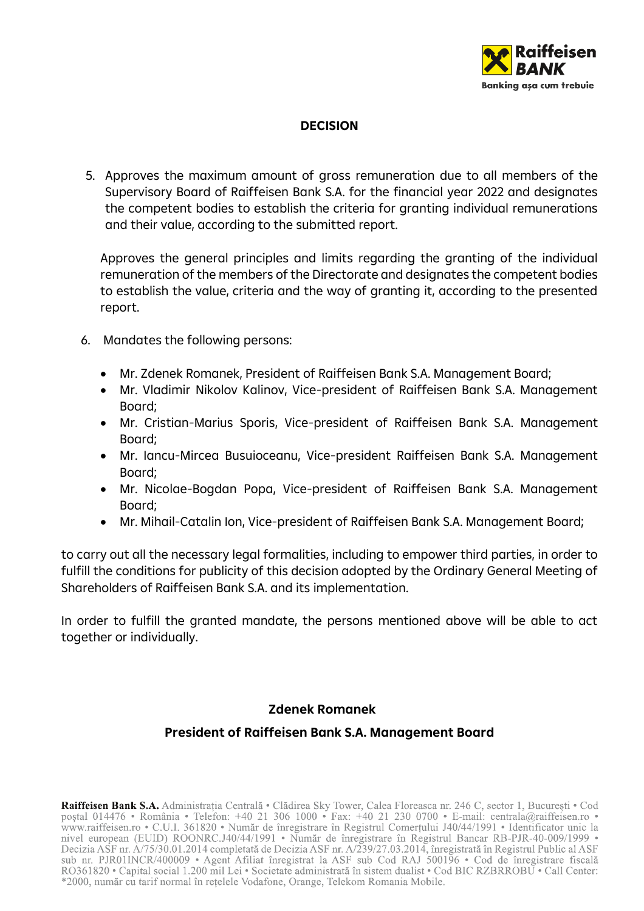

## **DECISION**

5. Approves the maximum amount of gross remuneration due to all members of the Supervisory Board of Raiffeisen Bank S.A. for the financial year 2022 and designates the competent bodies to establish the criteria for granting individual remunerations and their value, according to the submitted report.

Approves the general principles and limits regarding the granting of the individual remuneration of the members of the Directorate and designates the competent bodies to establish the value, criteria and the way of granting it, according to the presented report.

- 6. Mandates the following persons:
	- Mr. Zdenek Romanek, President of Raiffeisen Bank S.A. Management Board;
	- Mr. Vladimir Nikolov Kalinov, Vice-president of Raiffeisen Bank S.A. Management Board;
	- Mr. Cristian-Marius Sporis, Vice-president of Raiffeisen Bank S.A. Management Board;
	- Mr. Iancu-Mircea Busuioceanu, Vice-president Raiffeisen Bank S.A. Management Board;
	- Mr. Nicolae-Bogdan Popa, Vice-president of Raiffeisen Bank S.A. Management Board;
	- Mr. Mihail-Catalin Ion, Vice-president of Raiffeisen Bank S.A. Management Board;

to carry out all the necessary legal formalities, including to empower third parties, in order to fulfill the conditions for publicity of this decision adopted by the Ordinary General Meeting of Shareholders of Raiffeisen Bank S.A. and its implementation.

In order to fulfill the granted mandate, the persons mentioned above will be able to act together or individually.

#### **Zdenek Romanek**

#### **President of Raiffeisen Bank S.A. Management Board**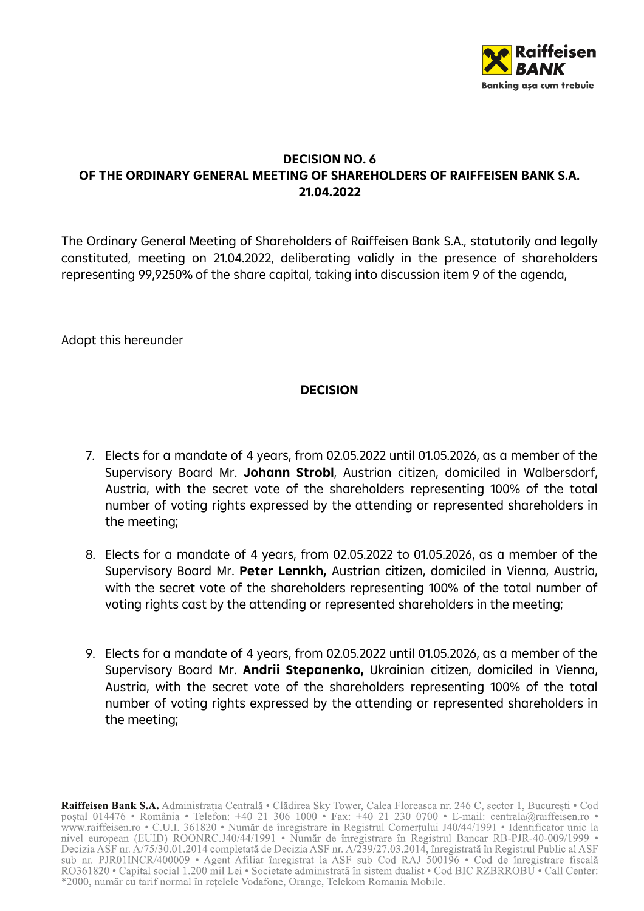

## **DECISION NO. 6 OF THE ORDINARY GENERAL MEETING OF SHAREHOLDERS OF RAIFFEISEN BANK S.A. 21.04.2022**

The Ordinary General Meeting of Shareholders of Raiffeisen Bank S.A., statutorily and legally constituted, meeting on 21.04.2022, deliberating validly in the presence of shareholders representing 99,9250% of the share capital, taking into discussion item 9 of the agenda,

Adopt this hereunder

#### **DECISION**

- 7. Elects for a mandate of 4 years, from 02.05.2022 until 01.05.2026, as a member of the Supervisory Board Mr. **Johann Strobl**, Austrian citizen, domiciled in Walbersdorf, Austria, with the secret vote of the shareholders representing 100% of the total number of voting rights expressed by the attending or represented shareholders in the meeting;
- 8. Elects for a mandate of 4 years, from 02.05.2022 to 01.05.2026, as a member of the Supervisory Board Mr. **Peter Lennkh,** Austrian citizen, domiciled in Vienna, Austria, with the secret vote of the shareholders representing 100% of the total number of voting rights cast by the attending or represented shareholders in the meeting;
- 9. Elects for a mandate of 4 years, from 02.05.2022 until 01.05.2026, as a member of the Supervisory Board Mr. **Andrii Stepanenko,** Ukrainian citizen, domiciled in Vienna, Austria, with the secret vote of the shareholders representing 100% of the total number of voting rights expressed by the attending or represented shareholders in the meeting;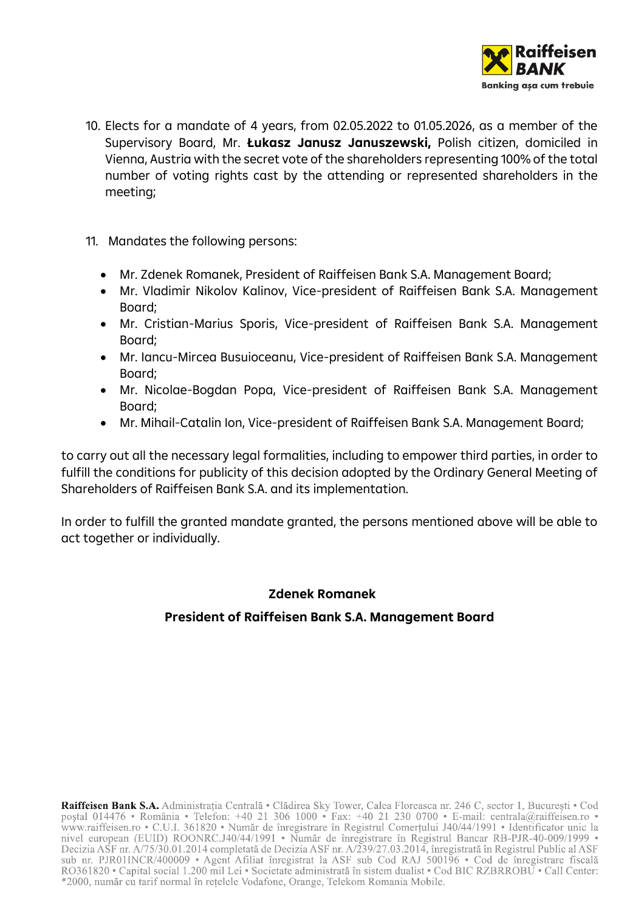

- 10. Elects for a mandate of 4 years, from 02.05.2022 to 01.05.2026, as a member of the Supervisory Board, Mr. **Łukasz Janusz Januszewski,** Polish citizen, domiciled in Vienna, Austria with the secret vote of the shareholders representing 100% of the total number of voting rights cast by the attending or represented shareholders in the meeting;
- 11. Mandates the following persons:
	- Mr. Zdenek Romanek, President of Raiffeisen Bank S.A. Management Board;
	- Mr. Vladimir Nikolov Kalinov, Vice-president of Raiffeisen Bank S.A. Management Board;
	- Mr. Cristian-Marius Sporis, Vice-president of Raiffeisen Bank S.A. Management Board;
	- Mr. Iancu-Mircea Busuioceanu, Vice-president of Raiffeisen Bank S.A. Management Board;
	- Mr. Nicolae-Bogdan Popa, Vice-president of Raiffeisen Bank S.A. Management Board;
	- Mr. Mihail-Catalin Ion, Vice-president of Raiffeisen Bank S.A. Management Board;

to carry out all the necessary legal formalities, including to empower third parties, in order to fulfill the conditions for publicity of this decision adopted by the Ordinary General Meeting of Shareholders of Raiffeisen Bank S.A. and its implementation.

In order to fulfill the granted mandate granted, the persons mentioned above will be able to act together or individually.

#### **Zdenek Romanek**

#### **President of Raiffeisen Bank S.A. Management Board**